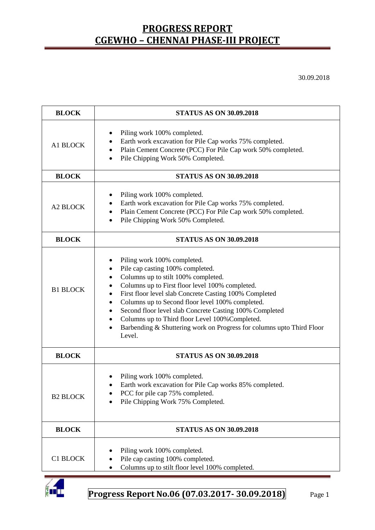#### 30.09.2018

| <b>BLOCK</b>    | <b>STATUS AS ON 30.09.2018</b>                                                                                                                                                                                                                                                                                                                                                                                                                                                                              |  |  |  |  |
|-----------------|-------------------------------------------------------------------------------------------------------------------------------------------------------------------------------------------------------------------------------------------------------------------------------------------------------------------------------------------------------------------------------------------------------------------------------------------------------------------------------------------------------------|--|--|--|--|
| <b>A1 BLOCK</b> | Piling work 100% completed.<br>$\bullet$<br>Earth work excavation for Pile Cap works 75% completed.<br>٠<br>Plain Cement Concrete (PCC) For Pile Cap work 50% completed.<br>٠<br>Pile Chipping Work 50% Completed.<br>$\bullet$                                                                                                                                                                                                                                                                             |  |  |  |  |
| <b>BLOCK</b>    | <b>STATUS AS ON 30.09.2018</b>                                                                                                                                                                                                                                                                                                                                                                                                                                                                              |  |  |  |  |
| <b>A2 BLOCK</b> | Piling work 100% completed.<br>Earth work excavation for Pile Cap works 75% completed.<br>Plain Cement Concrete (PCC) For Pile Cap work 50% completed.<br>$\bullet$<br>Pile Chipping Work 50% Completed.<br>$\bullet$                                                                                                                                                                                                                                                                                       |  |  |  |  |
| <b>BLOCK</b>    | <b>STATUS AS ON 30.09.2018</b>                                                                                                                                                                                                                                                                                                                                                                                                                                                                              |  |  |  |  |
| <b>B1 BLOCK</b> | Piling work 100% completed.<br>Pile cap casting 100% completed.<br>٠<br>Columns up to stilt 100% completed.<br>٠<br>Columns up to First floor level 100% completed.<br>٠<br>First floor level slab Concrete Casting 100% Completed<br>٠<br>Columns up to Second floor level 100% completed.<br>٠<br>Second floor level slab Concrete Casting 100% Completed<br>٠<br>Columns up to Third floor Level 100% Completed.<br>٠<br>Barbending & Shuttering work on Progress for columns upto Third Floor<br>Level. |  |  |  |  |
| <b>BLOCK</b>    | <b>STATUS AS ON 30.09.2018</b>                                                                                                                                                                                                                                                                                                                                                                                                                                                                              |  |  |  |  |
| <b>B2 BLOCK</b> | Piling work 100% completed.<br>Earth work excavation for Pile Cap works 85% completed.<br>PCC for pile cap 75% completed.<br>Pile Chipping Work 75% Completed.                                                                                                                                                                                                                                                                                                                                              |  |  |  |  |
| <b>BLOCK</b>    | <b>STATUS AS ON 30.09.2018</b>                                                                                                                                                                                                                                                                                                                                                                                                                                                                              |  |  |  |  |
| C1 BLOCK        | Piling work 100% completed.<br>Pile cap casting 100% completed.<br>Columns up to stilt floor level 100% completed.                                                                                                                                                                                                                                                                                                                                                                                          |  |  |  |  |

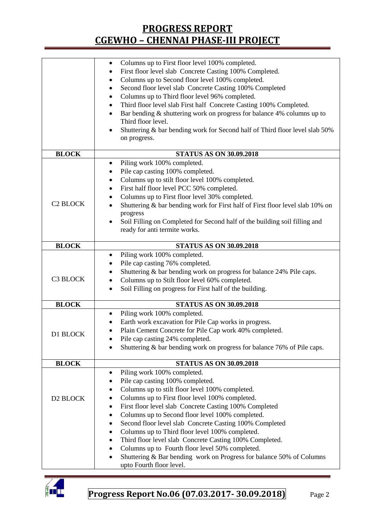|                                                              | Columns up to First floor level 100% completed.<br>٠                                    |  |  |  |  |  |
|--------------------------------------------------------------|-----------------------------------------------------------------------------------------|--|--|--|--|--|
|                                                              | First floor level slab Concrete Casting 100% Completed.<br>٠                            |  |  |  |  |  |
|                                                              | Columns up to Second floor level 100% completed.<br>٠                                   |  |  |  |  |  |
|                                                              | Second floor level slab Concrete Casting 100% Completed<br>٠                            |  |  |  |  |  |
|                                                              | Columns up to Third floor level 96% completed.<br>٠                                     |  |  |  |  |  |
|                                                              | Third floor level slab First half Concrete Casting 100% Completed.<br>٠                 |  |  |  |  |  |
|                                                              | Bar bending & shuttering work on progress for balance 4% columns up to<br>٠             |  |  |  |  |  |
|                                                              | Third floor level.                                                                      |  |  |  |  |  |
|                                                              | Shuttering & bar bending work for Second half of Third floor level slab 50%<br>٠        |  |  |  |  |  |
| on progress.                                                 |                                                                                         |  |  |  |  |  |
|                                                              |                                                                                         |  |  |  |  |  |
| <b>BLOCK</b>                                                 | <b>STATUS AS ON 30.09.2018</b>                                                          |  |  |  |  |  |
|                                                              | Piling work 100% completed.<br>٠                                                        |  |  |  |  |  |
|                                                              | Pile cap casting 100% completed.<br>٠                                                   |  |  |  |  |  |
|                                                              | Columns up to stilt floor level 100% completed.<br>٠                                    |  |  |  |  |  |
|                                                              | First half floor level PCC 50% completed.<br>٠                                          |  |  |  |  |  |
|                                                              | Columns up to First floor level 30% completed.<br>$\bullet$                             |  |  |  |  |  |
| <b>C2 BLOCK</b>                                              | Shuttering & bar bending work for First half of First floor level slab 10% on           |  |  |  |  |  |
|                                                              | progress                                                                                |  |  |  |  |  |
|                                                              | Soil Filling on Completed for Second half of the building soil filling and<br>$\bullet$ |  |  |  |  |  |
|                                                              | ready for anti termite works.                                                           |  |  |  |  |  |
|                                                              |                                                                                         |  |  |  |  |  |
| <b>BLOCK</b>                                                 | <b>STATUS AS ON 30.09.2018</b>                                                          |  |  |  |  |  |
|                                                              | Piling work 100% completed.<br>٠                                                        |  |  |  |  |  |
|                                                              | Pile cap casting 76% completed.<br>٠                                                    |  |  |  |  |  |
|                                                              | Shuttering & bar bending work on progress for balance 24% Pile caps.                    |  |  |  |  |  |
| C3 BLOCK                                                     | Columns up to Stilt floor level 60% completed.<br>٠                                     |  |  |  |  |  |
|                                                              | Soil Filling on progress for First half of the building.<br>٠                           |  |  |  |  |  |
|                                                              |                                                                                         |  |  |  |  |  |
| <b>BLOCK</b>                                                 | <b>STATUS AS ON 30.09.2018</b>                                                          |  |  |  |  |  |
|                                                              | Piling work 100% completed.<br>٠                                                        |  |  |  |  |  |
|                                                              | Earth work excavation for Pile Cap works in progress.                                   |  |  |  |  |  |
| D1 BLOCK                                                     | Plain Cement Concrete for Pile Cap work 40% completed.                                  |  |  |  |  |  |
|                                                              | Pile cap casting 24% completed.                                                         |  |  |  |  |  |
|                                                              | Shuttering & bar bending work on progress for balance 76% of Pile caps.                 |  |  |  |  |  |
|                                                              |                                                                                         |  |  |  |  |  |
| <b>BLOCK</b>                                                 | <b>STATUS AS ON 30.09.2018</b>                                                          |  |  |  |  |  |
|                                                              | Piling work 100% completed.<br>$\bullet$                                                |  |  |  |  |  |
|                                                              | Pile cap casting 100% completed.<br>٠                                                   |  |  |  |  |  |
|                                                              | Columns up to stilt floor level 100% completed.                                         |  |  |  |  |  |
| D2 BLOCK                                                     | Columns up to First floor level 100% completed.                                         |  |  |  |  |  |
|                                                              | First floor level slab Concrete Casting 100% Completed<br>٠                             |  |  |  |  |  |
|                                                              | Columns up to Second floor level 100% completed.<br>٠                                   |  |  |  |  |  |
|                                                              | Second floor level slab Concrete Casting 100% Completed<br>٠                            |  |  |  |  |  |
|                                                              | Columns up to Third floor level 100% completed.<br>٠                                    |  |  |  |  |  |
| Third floor level slab Concrete Casting 100% Completed.<br>٠ |                                                                                         |  |  |  |  |  |
|                                                              | Columns up to Fourth floor level 50% completed.                                         |  |  |  |  |  |
|                                                              | Shuttering & Bar bending work on Progress for balance 50% of Columns                    |  |  |  |  |  |
|                                                              | upto Fourth floor level.                                                                |  |  |  |  |  |

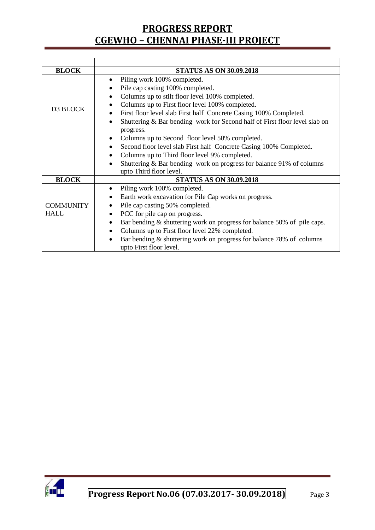| <b>BLOCK</b>                    | <b>STATUS AS ON 30.09.2018</b>                                                                                                                                                                                                                                                                                                                                                                                                                                                                |  |  |  |
|---------------------------------|-----------------------------------------------------------------------------------------------------------------------------------------------------------------------------------------------------------------------------------------------------------------------------------------------------------------------------------------------------------------------------------------------------------------------------------------------------------------------------------------------|--|--|--|
| D3 BLOCK                        | Piling work 100% completed.<br>Pile cap casting 100% completed.<br>٠<br>Columns up to stilt floor level 100% completed.<br>Columns up to First floor level 100% completed.<br>First floor level slab First half Concrete Casing 100% Completed.<br>$\bullet$<br>Shuttering & Bar bending work for Second half of First floor level slab on<br>progress.<br>Columns up to Second floor level 50% completed.<br>Second floor level slab First half Concrete Casing 100% Completed.<br>$\bullet$ |  |  |  |
|                                 | Columns up to Third floor level 9% completed.<br>٠                                                                                                                                                                                                                                                                                                                                                                                                                                            |  |  |  |
|                                 | Shuttering & Bar bending work on progress for balance 91% of columns<br>upto Third floor level.                                                                                                                                                                                                                                                                                                                                                                                               |  |  |  |
| <b>BLOCK</b>                    | <b>STATUS AS ON 30.09.2018</b>                                                                                                                                                                                                                                                                                                                                                                                                                                                                |  |  |  |
| <b>COMMUNITY</b><br><b>HALL</b> | Piling work 100% completed.<br>Earth work excavation for Pile Cap works on progress.<br>Pile cap casting 50% completed.<br>$\bullet$<br>PCC for pile cap on progress.<br>Bar bending $\&$ shuttering work on progress for balance 50% of pile caps.<br>٠<br>Columns up to First floor level 22% completed.<br>٠<br>Bar bending & shuttering work on progress for balance 78% of columns<br>$\bullet$<br>upto First floor level.                                                               |  |  |  |

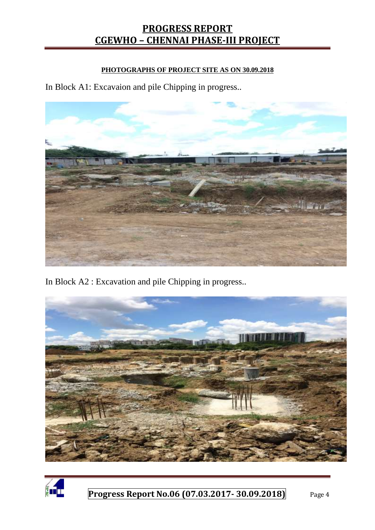#### **PHOTOGRAPHS OF PROJECT SITE AS ON 30.09.2018**

In Block A1: Excavaion and pile Chipping in progress..



In Block A2 : Excavation and pile Chipping in progress..



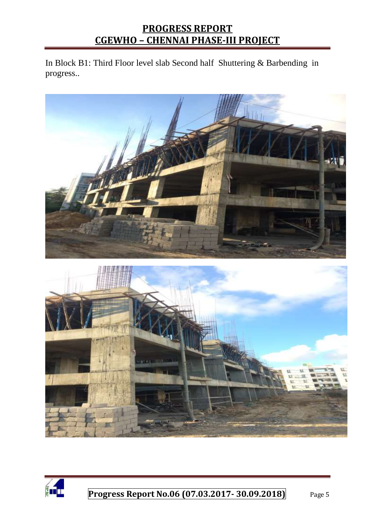In Block B1: Third Floor level slab Second half Shuttering & Barbending in progress..



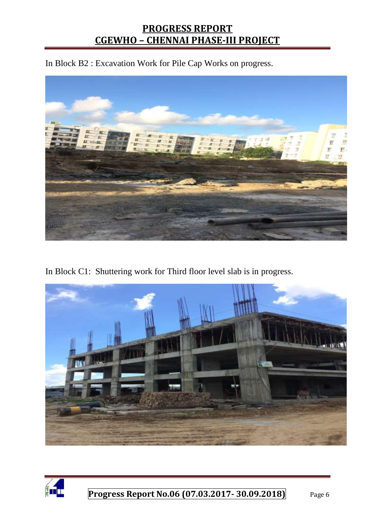In Block B2 : Excavation Work for Pile Cap Works on progress.



In Block C1: Shuttering work for Third floor level slab is in progress.



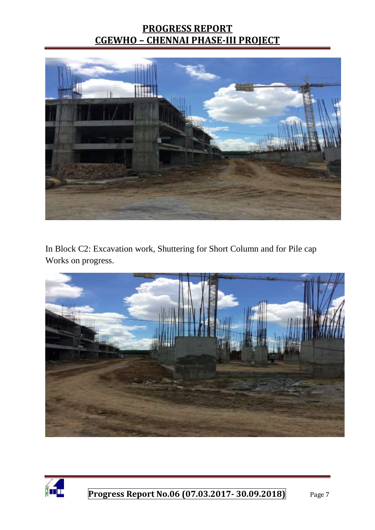

In Block C2: Excavation work, Shuttering for Short Column and for Pile cap Works on progress.



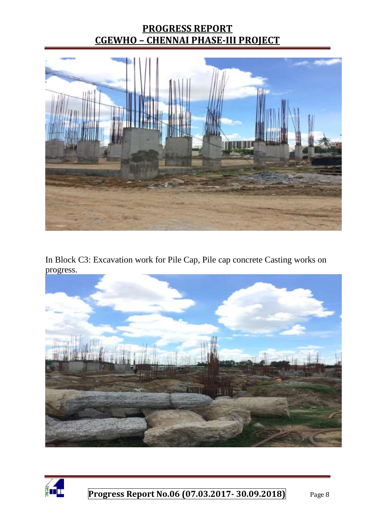

In Block C3: Excavation work for Pile Cap, Pile cap concrete Casting works on progress.



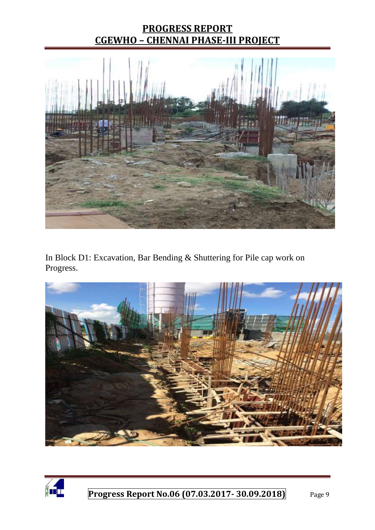

In Block D1: Excavation, Bar Bending & Shuttering for Pile cap work on Progress.



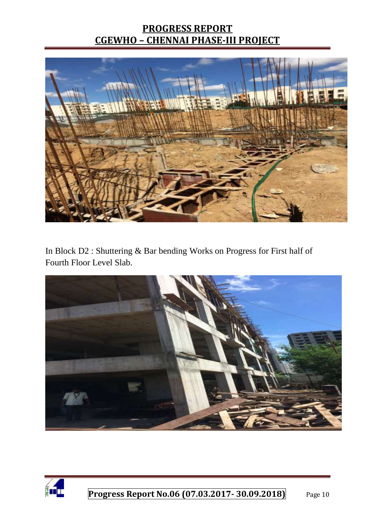

In Block D2 : Shuttering & Bar bending Works on Progress for First half of Fourth Floor Level Slab.



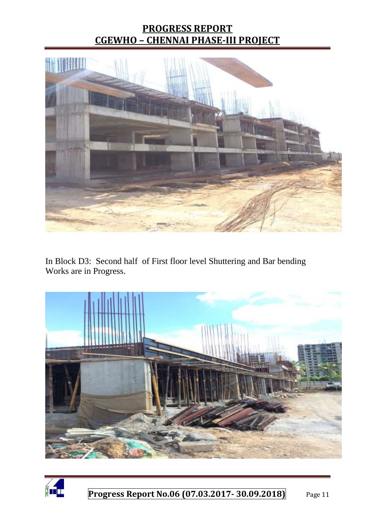

In Block D3: Second half of First floor level Shuttering and Bar bending Works are in Progress.



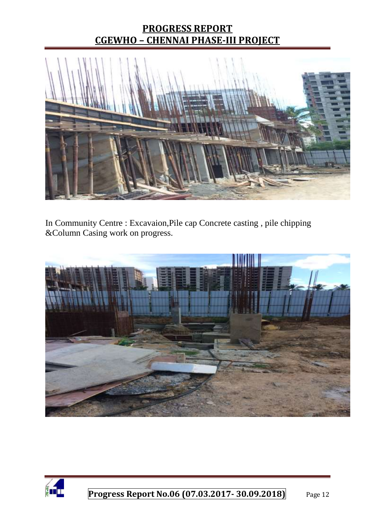

In Community Centre : Excavaion,Pile cap Concrete casting , pile chipping &Column Casing work on progress.



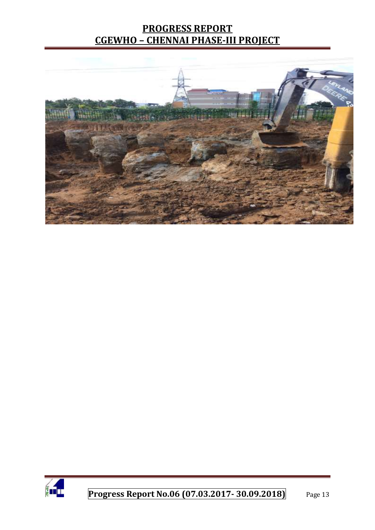

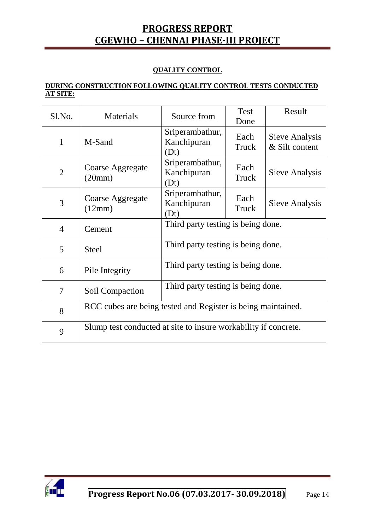#### **QUALITY CONTROL**

#### **DURING CONSTRUCTION FOLLOWING QUALITY CONTROL TESTS CONDUCTED AT SITE:**

| Sl.No.         | Materials                                                       | Source from                            | <b>Test</b><br>Done | Result                           |  |
|----------------|-----------------------------------------------------------------|----------------------------------------|---------------------|----------------------------------|--|
| $\mathbf{1}$   | M-Sand                                                          | Sriperambathur,<br>Kanchipuran<br>(Dt) | Each<br>Truck       | Sieve Analysis<br>& Silt content |  |
| $\overline{2}$ | Coarse Aggregate<br>(20mm)                                      | Sriperambathur,<br>Kanchipuran<br>(Dt) | Each<br>Truck       | Sieve Analysis                   |  |
| 3              | Coarse Aggregate<br>(12mm)                                      | Sriperambathur,<br>Kanchipuran<br>(Dt) | Each<br>Truck       | Sieve Analysis                   |  |
| $\overline{4}$ | Cement                                                          | Third party testing is being done.     |                     |                                  |  |
| 5              | <b>Steel</b>                                                    | Third party testing is being done.     |                     |                                  |  |
| 6              | Pile Integrity                                                  | Third party testing is being done.     |                     |                                  |  |
| $\overline{7}$ | Soil Compaction                                                 | Third party testing is being done.     |                     |                                  |  |
| 8              | RCC cubes are being tested and Register is being maintained.    |                                        |                     |                                  |  |
| 9              | Slump test conducted at site to insure workability if concrete. |                                        |                     |                                  |  |

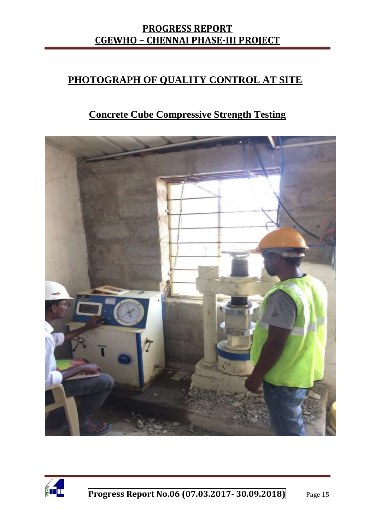## **PHOTOGRAPH OF QUALITY CONTROL AT SITE**

# **Concrete Cube Compressive Strength Testing**



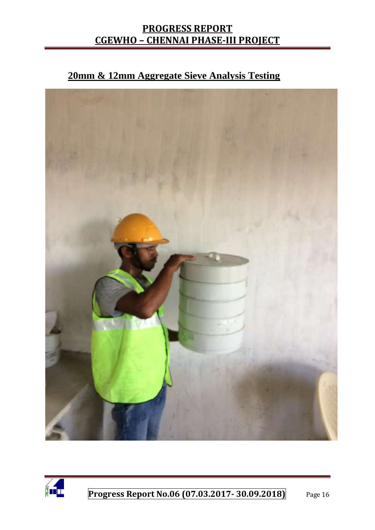# **20mm & 12mm Aggregate Sieve Analysis Testing**